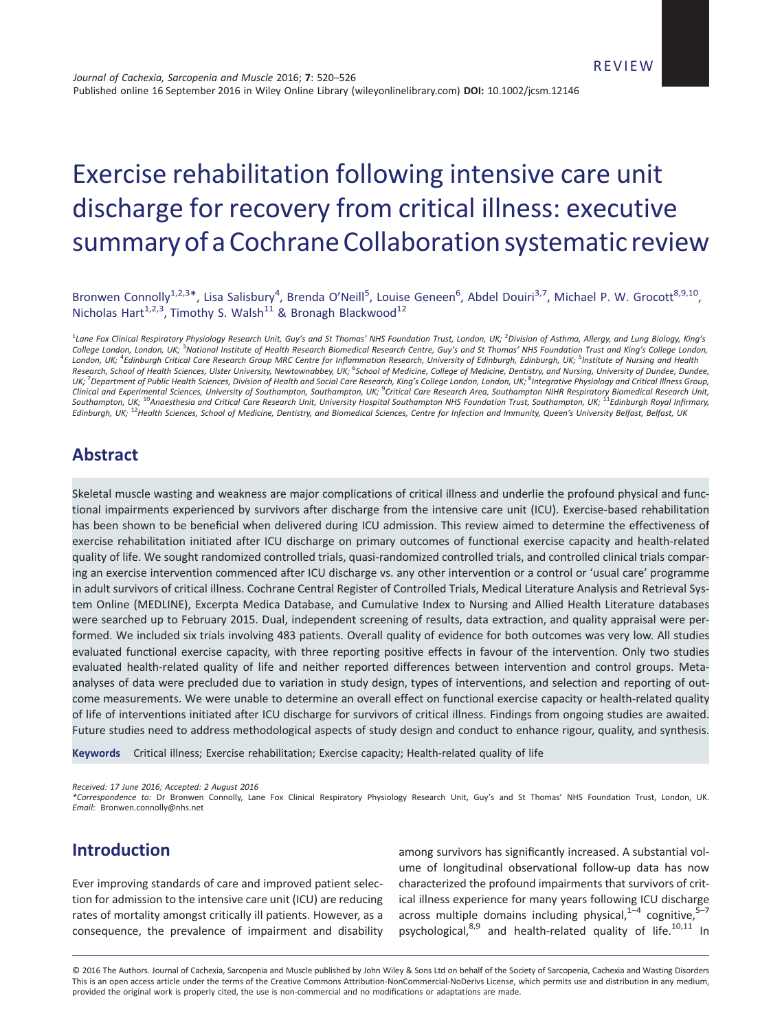# Exercise rehabilitation following intensive care unit discharge for recovery from critical illness: executive summary of a Cochrane Collaboration systematic review

Bronwen Connolly<sup>1,2,3\*</sup>, Lisa Salisbury<sup>4</sup>, Brenda O'Neill<sup>5</sup>, Louise Geneen<sup>6</sup>, Abdel Douiri<sup>3,7</sup>, Michael P. W. Grocott<sup>8,9,10</sup>, Nicholas Hart<sup>1,2,3</sup>, Timothy S. Walsh<sup>11</sup> & Bronagh Blackwood<sup>12</sup>

<sup>1</sup>Lane Fox Clinical Respiratory Physiology Research Unit, Guy's and St Thomas' NHS Foundation Trust, London, UK; <sup>2</sup>Division of Asthma, Allergy, and Lung Biology, King's College London, London, UK; <sup>3</sup>National Institute of Health Research Biomedical Research Centre, Guy's and St Thomas' NHS Foundation Trust and King's College London, London, UK; <sup>4</sup>Edinburgh Critical Care Research Group MRC Centre for Inflammation Research, University of Edinburgh, Edinburgh, UK; <sup>5</sup>Institute of Nursing and Health Research, School of Health Sciences, Ulster University, Newtownabbey, UK; <sup>6</sup>School of Medicine, College of Medicine, Dentistry, and Nursing, University of Dundee, Dundee, UK; <sup>7</sup>Department of Public Health Sciences, Division of Health and Social Care Research, King's College London, London, UK; <sup>8</sup>Integrative Physiology and Critical Illness Group, Clinical and Experimental Sciences, University of Southampton, Southampton, UK; <sup>9</sup>Critical Care Research Area, Southampton NIHR Respiratory Biomedical Research Unit,<br>Southampton, UK; <sup>10</sup>Anaesthesia and Critical Care Rese Edinburgh, UK; <sup>12</sup>Health Sciences, School of Medicine, Dentistry, and Biomedical Sciences, Centre for Infection and Immunity, Queen's University Belfast, Belfast, UK

# Abstract

Skeletal muscle wasting and weakness are major complications of critical illness and underlie the profound physical and functional impairments experienced by survivors after discharge from the intensive care unit (ICU). Exercise-based rehabilitation has been shown to be beneficial when delivered during ICU admission. This review aimed to determine the effectiveness of exercise rehabilitation initiated after ICU discharge on primary outcomes of functional exercise capacity and health-related quality of life. We sought randomized controlled trials, quasi-randomized controlled trials, and controlled clinical trials comparing an exercise intervention commenced after ICU discharge vs. any other intervention or a control or 'usual care' programme in adult survivors of critical illness. Cochrane Central Register of Controlled Trials, Medical Literature Analysis and Retrieval System Online (MEDLINE), Excerpta Medica Database, and Cumulative Index to Nursing and Allied Health Literature databases were searched up to February 2015. Dual, independent screening of results, data extraction, and quality appraisal were performed. We included six trials involving 483 patients. Overall quality of evidence for both outcomes was very low. All studies evaluated functional exercise capacity, with three reporting positive effects in favour of the intervention. Only two studies evaluated health-related quality of life and neither reported differences between intervention and control groups. Metaanalyses of data were precluded due to variation in study design, types of interventions, and selection and reporting of outcome measurements. We were unable to determine an overall effect on functional exercise capacity or health-related quality of life of interventions initiated after ICU discharge for survivors of critical illness. Findings from ongoing studies are awaited. Future studies need to address methodological aspects of study design and conduct to enhance rigour, quality, and synthesis.

Keywords Critical illness; Exercise rehabilitation; Exercise capacity; Health-related quality of life

Received: 17 June 2016; Accepted: 2 August 2016

\*Correspondence to: Dr Bronwen Connolly, Lane Fox Clinical Respiratory Physiology Research Unit, Guy's and St Thomas' NHS Foundation Trust, London, UK. Email: Bronwen.connolly@nhs.net

# Introduction

Ever improving standards of care and improved patient selection for admission to the intensive care unit (ICU) are reducing rates of mortality amongst critically ill patients. However, as a consequence, the prevalence of impairment and disability

among survivors has significantly increased. A substantial volume of longitudinal observational follow-up data has now characterized the profound impairments that survivors of critical illness experience for many years following ICU discharge across multiple domains including physical, $1-4$  cognitive, $5-7$ psychological,<sup>8,9</sup> and health-related quality of life.<sup>10,11</sup> In

<sup>© 2016</sup> The Authors. Journal of Cachexia, Sarcopenia and Muscle published by John Wiley & Sons Ltd on behalf of the Society of Sarcopenia, Cachexia and Wasting Disorders This is an open access article under the terms of the [Creative Commons Attribution-NonCommercial-NoDerivs](http://creativecommons.org/licenses/by-nc-nd/4.0/) License, which permits use and distribution in any medium, provided the original work is properly cited, the use is non-commercial and no modifications or adaptations are made.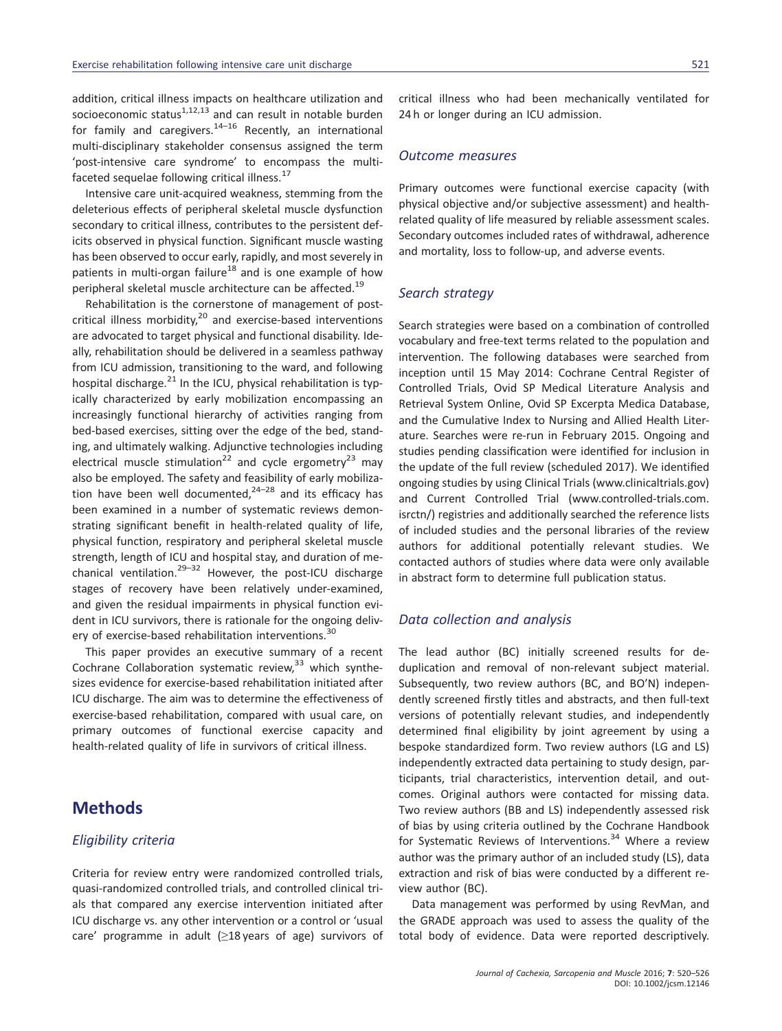addition, critical illness impacts on healthcare utilization and socioeconomic status $1,12,13$  and can result in notable burden for family and caregivers.<sup>14–16</sup> Recently, an international multi-disciplinary stakeholder consensus assigned the term 'post-intensive care syndrome' to encompass the multifaceted sequelae following critical illness.<sup>17</sup>

Intensive care unit-acquired weakness, stemming from the deleterious effects of peripheral skeletal muscle dysfunction secondary to critical illness, contributes to the persistent deficits observed in physical function. Significant muscle wasting has been observed to occur early, rapidly, and most severely in patients in multi-organ failure<sup>18</sup> and is one example of how peripheral skeletal muscle architecture can be affected.<sup>19</sup>

Rehabilitation is the cornerstone of management of postcritical illness morbidity, $20$  and exercise-based interventions are advocated to target physical and functional disability. Ideally, rehabilitation should be delivered in a seamless pathway from ICU admission, transitioning to the ward, and following hospital discharge.<sup>21</sup> In the ICU, physical rehabilitation is typically characterized by early mobilization encompassing an increasingly functional hierarchy of activities ranging from bed-based exercises, sitting over the edge of the bed, standing, and ultimately walking. Adjunctive technologies including electrical muscle stimulation<sup>22</sup> and cycle ergometry<sup>23</sup> may also be employed. The safety and feasibility of early mobilization have been well documented, $24-28$  and its efficacy has been examined in a number of systematic reviews demonstrating significant benefit in health-related quality of life, physical function, respiratory and peripheral skeletal muscle strength, length of ICU and hospital stay, and duration of mechanical ventilation.<sup>29–32</sup> However, the post-ICU discharge stages of recovery have been relatively under-examined, and given the residual impairments in physical function evident in ICU survivors, there is rationale for the ongoing delivery of exercise-based rehabilitation interventions.<sup>30</sup>

This paper provides an executive summary of a recent Cochrane Collaboration systematic review, $33$  which synthesizes evidence for exercise-based rehabilitation initiated after ICU discharge. The aim was to determine the effectiveness of exercise-based rehabilitation, compared with usual care, on primary outcomes of functional exercise capacity and health-related quality of life in survivors of critical illness.

### **Methods**

### Eligibility criteria

Criteria for review entry were randomized controlled trials, quasi-randomized controlled trials, and controlled clinical trials that compared any exercise intervention initiated after ICU discharge vs. any other intervention or a control or 'usual care' programme in adult (≥18 years of age) survivors of critical illness who had been mechanically ventilated for 24 h or longer during an ICU admission.

#### Outcome measures

Primary outcomes were functional exercise capacity (with physical objective and/or subjective assessment) and healthrelated quality of life measured by reliable assessment scales. Secondary outcomes included rates of withdrawal, adherence and mortality, loss to follow-up, and adverse events.

### Search strategy

Search strategies were based on a combination of controlled vocabulary and free-text terms related to the population and intervention. The following databases were searched from inception until 15 May 2014: Cochrane Central Register of Controlled Trials, Ovid SP Medical Literature Analysis and Retrieval System Online, Ovid SP Excerpta Medica Database, and the Cumulative Index to Nursing and Allied Health Literature. Searches were re-run in February 2015. Ongoing and studies pending classification were identified for inclusion in the update of the full review (scheduled 2017). We identified ongoing studies by using Clinical Trials ([www.clinicaltrials.gov\)](http://www.clinicaltrials.gov) and Current Controlled Trial ([www.controlled-trials.com.](http://www.controlled-trials.com.isrctn) [isrctn](http://www.controlled-trials.com.isrctn)/) registries and additionally searched the reference lists of included studies and the personal libraries of the review authors for additional potentially relevant studies. We contacted authors of studies where data were only available in abstract form to determine full publication status.

### Data collection and analysis

The lead author (BC) initially screened results for deduplication and removal of non-relevant subject material. Subsequently, two review authors (BC, and BO'N) independently screened firstly titles and abstracts, and then full-text versions of potentially relevant studies, and independently determined final eligibility by joint agreement by using a bespoke standardized form. Two review authors (LG and LS) independently extracted data pertaining to study design, participants, trial characteristics, intervention detail, and outcomes. Original authors were contacted for missing data. Two review authors (BB and LS) independently assessed risk of bias by using criteria outlined by the Cochrane Handbook for Systematic Reviews of Interventions.<sup>34</sup> Where a review author was the primary author of an included study (LS), data extraction and risk of bias were conducted by a different review author (BC).

Data management was performed by using RevMan, and the GRADE approach was used to assess the quality of the total body of evidence. Data were reported descriptively.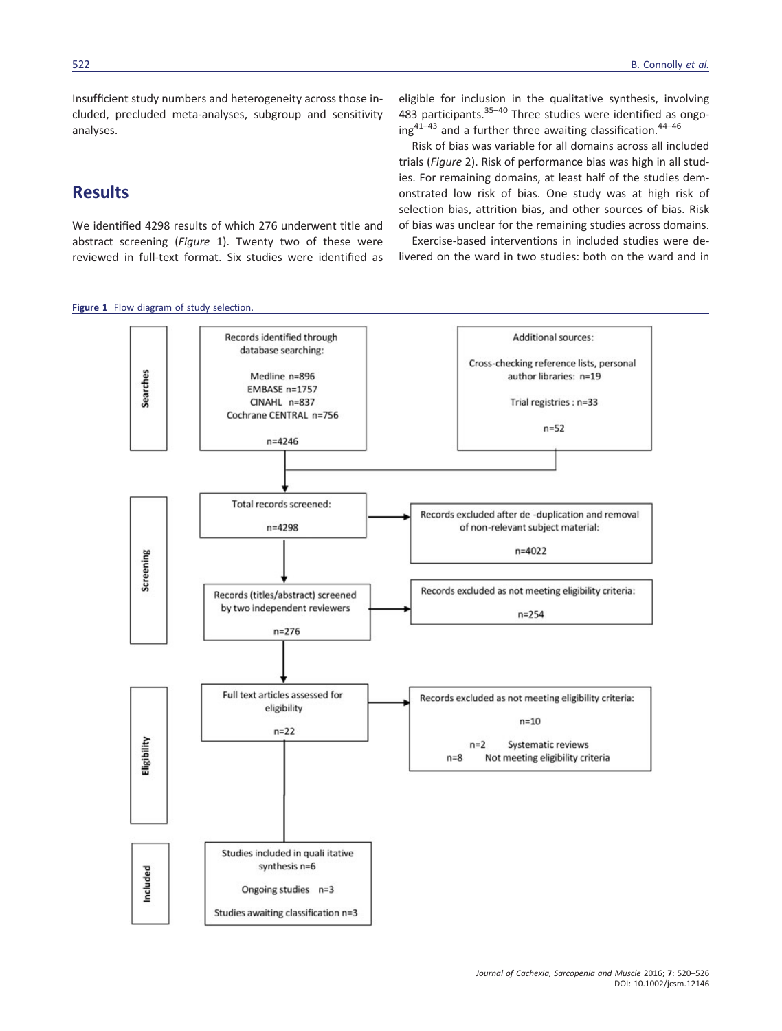Insufficient study numbers and heterogeneity across those included, precluded meta-analyses, subgroup and sensitivity analyses.

# **Results**

We identified 4298 results of which 276 underwent title and abstract screening (Figure 1). Twenty two of these were reviewed in full-text format. Six studies were identified as

eligible for inclusion in the qualitative synthesis, involving 483 participants.<sup>35-40</sup> Three studies were identified as ongo $ing^{41-43}$  and a further three awaiting classification.<sup>44-46</sup>

Risk of bias was variable for all domains across all included trials (Figure 2). Risk of performance bias was high in all studies. For remaining domains, at least half of the studies demonstrated low risk of bias. One study was at high risk of selection bias, attrition bias, and other sources of bias. Risk of bias was unclear for the remaining studies across domains.

Exercise-based interventions in included studies were delivered on the ward in two studies: both on the ward and in



#### Figure 1 Flow diagram of study selection.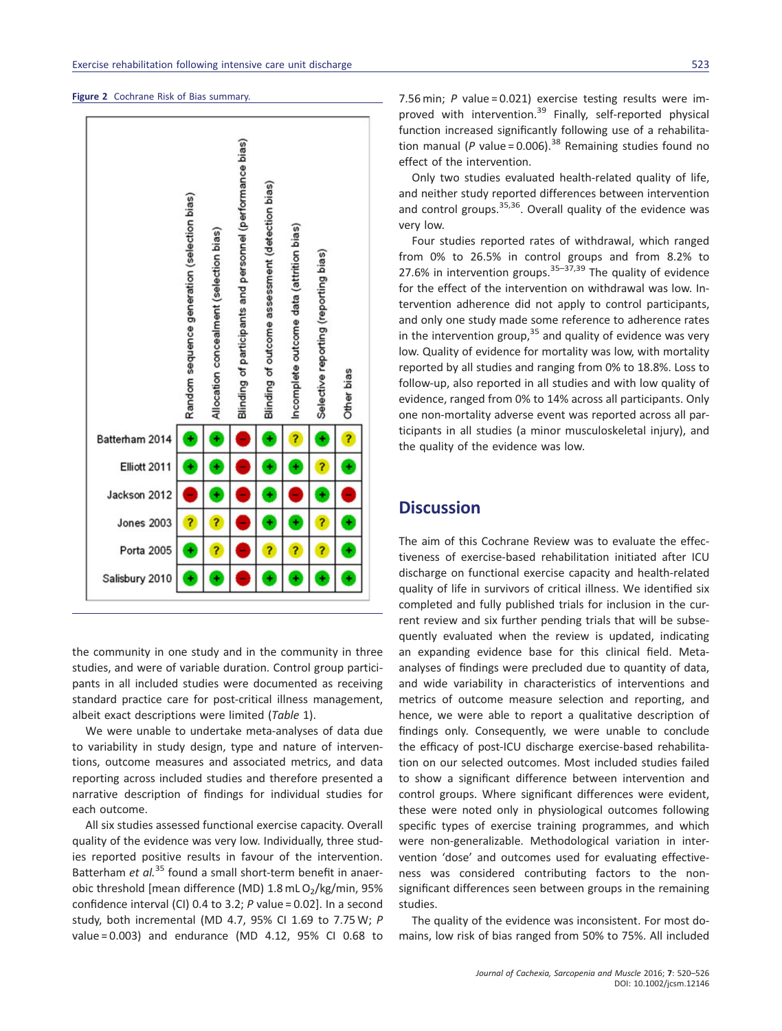#### Figure 2 Cochrane Risk of Bias summary.



the community in one study and in the community in three studies, and were of variable duration. Control group participants in all included studies were documented as receiving standard practice care for post-critical illness management, albeit exact descriptions were limited (Table 1).

We were unable to undertake meta-analyses of data due to variability in study design, type and nature of interventions, outcome measures and associated metrics, and data reporting across included studies and therefore presented a narrative description of findings for individual studies for each outcome.

All six studies assessed functional exercise capacity. Overall quality of the evidence was very low. Individually, three studies reported positive results in favour of the intervention. Batterham et  $al.^{35}$  found a small short-term benefit in anaerobic threshold [mean difference (MD)  $1.8$  mL O<sub>2</sub>/kg/min, 95% confidence interval (CI) 0.4 to 3.2; P value = 0.02]. In a second study, both incremental (MD 4.7, 95% CI 1.69 to 7.75 W; P value = 0.003) and endurance (MD 4.12, 95% CI 0.68 to

7.56 min;  $P$  value = 0.021) exercise testing results were improved with intervention.<sup>39</sup> Finally, self-reported physical function increased significantly following use of a rehabilitation manual (P value = 0.006).<sup>38</sup> Remaining studies found no effect of the intervention.

Only two studies evaluated health-related quality of life, and neither study reported differences between intervention and control groups.  $35,36$ . Overall quality of the evidence was very low.

Four studies reported rates of withdrawal, which ranged from 0% to 26.5% in control groups and from 8.2% to 27.6% in intervention groups.  $35-37,39$  The quality of evidence for the effect of the intervention on withdrawal was low. Intervention adherence did not apply to control participants, and only one study made some reference to adherence rates in the intervention group, $35$  and quality of evidence was very low. Quality of evidence for mortality was low, with mortality reported by all studies and ranging from 0% to 18.8%. Loss to follow-up, also reported in all studies and with low quality of evidence, ranged from 0% to 14% across all participants. Only one non-mortality adverse event was reported across all participants in all studies (a minor musculoskeletal injury), and the quality of the evidence was low.

### **Discussion**

The aim of this Cochrane Review was to evaluate the effectiveness of exercise-based rehabilitation initiated after ICU discharge on functional exercise capacity and health-related quality of life in survivors of critical illness. We identified six completed and fully published trials for inclusion in the current review and six further pending trials that will be subsequently evaluated when the review is updated, indicating an expanding evidence base for this clinical field. Metaanalyses of findings were precluded due to quantity of data, and wide variability in characteristics of interventions and metrics of outcome measure selection and reporting, and hence, we were able to report a qualitative description of findings only. Consequently, we were unable to conclude the efficacy of post-ICU discharge exercise-based rehabilitation on our selected outcomes. Most included studies failed to show a significant difference between intervention and control groups. Where significant differences were evident, these were noted only in physiological outcomes following specific types of exercise training programmes, and which were non-generalizable. Methodological variation in intervention 'dose' and outcomes used for evaluating effectiveness was considered contributing factors to the nonsignificant differences seen between groups in the remaining studies.

The quality of the evidence was inconsistent. For most domains, low risk of bias ranged from 50% to 75%. All included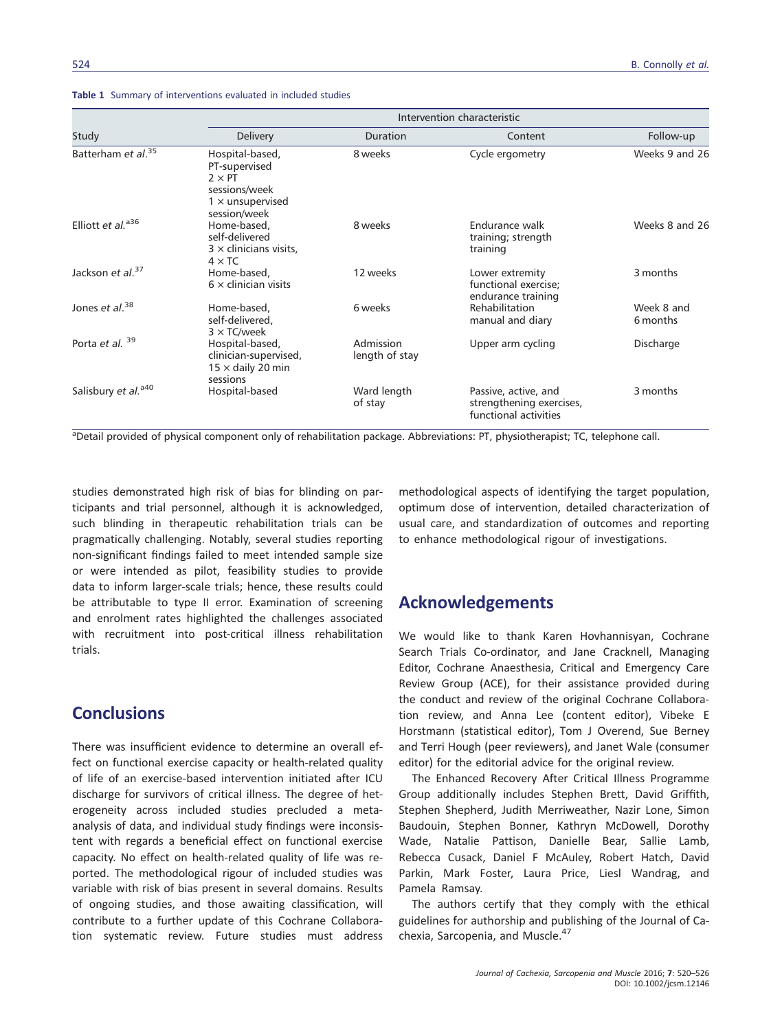#### Table 1 Summary of interventions evaluated in included studies

| Study                           | Intervention characteristic                                                                                   |                             |                                                                           |                        |
|---------------------------------|---------------------------------------------------------------------------------------------------------------|-----------------------------|---------------------------------------------------------------------------|------------------------|
|                                 | <b>Delivery</b>                                                                                               | <b>Duration</b>             | Content                                                                   | Follow-up              |
| Batterham et al. <sup>35</sup>  | Hospital-based,<br>PT-supervised<br>$2 \times PT$<br>sessions/week<br>$1 \times$ unsupervised<br>session/week | 8 weeks                     | Cycle ergometry                                                           | Weeks 9 and 26         |
| Elliott et al. <sup>a36</sup>   | Home-based,<br>self-delivered<br>$3 \times$ clinicians visits,<br>$4 \times T$ C                              | 8 weeks                     | Endurance walk<br>training; strength<br>training                          | Weeks 8 and 26         |
| Jackson et al. <sup>37</sup>    | Home-based,<br>$6 \times$ clinician visits                                                                    | 12 weeks                    | Lower extremity<br>functional exercise;<br>endurance training             | 3 months               |
| Jones et al. <sup>38</sup>      | Home-based,<br>self-delivered,<br>$3 \times$ TC/week                                                          | 6 weeks                     | <b>Rehabilitation</b><br>manual and diary                                 | Week 8 and<br>6 months |
| Porta et al. 39                 | Hospital-based,<br>clinician-supervised,<br>$15 \times$ daily 20 min<br>sessions                              | Admission<br>length of stay | Upper arm cycling                                                         | Discharge              |
| Salisbury et al. <sup>a40</sup> | Hospital-based                                                                                                | Ward length<br>of stay      | Passive, active, and<br>strengthening exercises,<br>functional activities | 3 months               |

aDetail provided of physical component only of rehabilitation package. Abbreviations: PT, physiotherapist; TC, telephone call.

studies demonstrated high risk of bias for blinding on participants and trial personnel, although it is acknowledged, such blinding in therapeutic rehabilitation trials can be pragmatically challenging. Notably, several studies reporting non-significant findings failed to meet intended sample size or were intended as pilot, feasibility studies to provide data to inform larger-scale trials; hence, these results could be attributable to type II error. Examination of screening and enrolment rates highlighted the challenges associated with recruitment into post-critical illness rehabilitation trials.

### **Conclusions**

There was insufficient evidence to determine an overall effect on functional exercise capacity or health-related quality of life of an exercise-based intervention initiated after ICU discharge for survivors of critical illness. The degree of heterogeneity across included studies precluded a metaanalysis of data, and individual study findings were inconsistent with regards a beneficial effect on functional exercise capacity. No effect on health-related quality of life was reported. The methodological rigour of included studies was variable with risk of bias present in several domains. Results of ongoing studies, and those awaiting classification, will contribute to a further update of this Cochrane Collaboration systematic review. Future studies must address

methodological aspects of identifying the target population, optimum dose of intervention, detailed characterization of usual care, and standardization of outcomes and reporting to enhance methodological rigour of investigations.

### Acknowledgements

We would like to thank Karen Hovhannisyan, Cochrane Search Trials Co-ordinator, and Jane Cracknell, Managing Editor, Cochrane Anaesthesia, Critical and Emergency Care Review Group (ACE), for their assistance provided during the conduct and review of the original Cochrane Collaboration review, and Anna Lee (content editor), Vibeke E Horstmann (statistical editor), Tom J Overend, Sue Berney and Terri Hough (peer reviewers), and Janet Wale (consumer editor) for the editorial advice for the original review.

The Enhanced Recovery After Critical Illness Programme Group additionally includes Stephen Brett, David Griffith, Stephen Shepherd, Judith Merriweather, Nazir Lone, Simon Baudouin, Stephen Bonner, Kathryn McDowell, Dorothy Wade, Natalie Pattison, Danielle Bear, Sallie Lamb, Rebecca Cusack, Daniel F McAuley, Robert Hatch, David Parkin, Mark Foster, Laura Price, Liesl Wandrag, and Pamela Ramsay.

The authors certify that they comply with the ethical guidelines for authorship and publishing of the Journal of Cachexia, Sarcopenia, and Muscle.<sup>47</sup>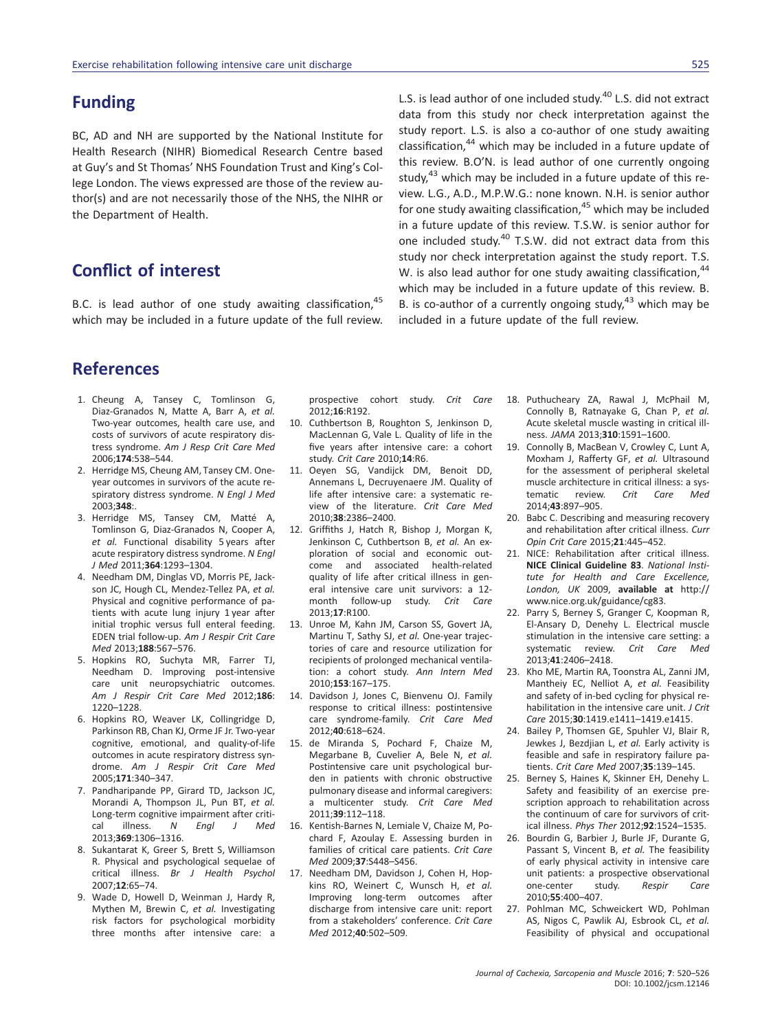### Funding

BC, AD and NH are supported by the National Institute for Health Research (NIHR) Biomedical Research Centre based at Guy's and St Thomas' NHS Foundation Trust and King's College London. The views expressed are those of the review author(s) and are not necessarily those of the NHS, the NIHR or the Department of Health.

# Conflict of interest

B.C. is lead author of one study awaiting classification,  $45$ which may be included in a future update of the full review.

L.S. is lead author of one included study.<sup>40</sup> L.S. did not extract data from this study nor check interpretation against the study report. L.S. is also a co-author of one study awaiting classification, $44$  which may be included in a future update of this review. B.O'N. is lead author of one currently ongoing study,  $43$  which may be included in a future update of this review. L.G., A.D., M.P.W.G.: none known. N.H. is senior author for one study awaiting classification, $45$  which may be included in a future update of this review. T.S.W. is senior author for one included study.<sup>40</sup> T.S.W. did not extract data from this study nor check interpretation against the study report. T.S. W. is also lead author for one study awaiting classification,<sup>44</sup> which may be included in a future update of this review. B. B. is co-author of a currently ongoing study, $43$  which may be included in a future update of the full review.

# **References**

- 1. Cheung A, Tansey C, Tomlinson G, Diaz-Granados N, Matte A, Barr A, et al. Two-year outcomes, health care use, and costs of survivors of acute respiratory distress syndrome. Am J Resp Crit Care Med 2006;174:538–544.
- 2. Herridge MS, Cheung AM, Tansey CM. Oneyear outcomes in survivors of the acute respiratory distress syndrome. N Engl J Med 2003;348:.
- 3. Herridge MS, Tansey CM, Matté A, Tomlinson G, Diaz-Granados N, Cooper A, et al. Functional disability 5 years after acute respiratory distress syndrome. N Engl J Med 2011;364:1293–1304.
- 4. Needham DM, Dinglas VD, Morris PE, Jackson JC, Hough CL, Mendez-Tellez PA, et al. Physical and cognitive performance of patients with acute lung injury 1 year after initial trophic versus full enteral feeding. EDEN trial follow-up. Am J Respir Crit Care Med 2013;188:567–576.
- 5. Hopkins RO, Suchyta MR, Farrer TJ, Needham D. Improving post-intensive care unit neuropsychiatric outcomes. Am J Respir Crit Care Med 2012;186: 1220–1228.
- 6. Hopkins RO, Weaver LK, Collingridge D, Parkinson RB, Chan KJ, Orme JF Jr. Two-year cognitive, emotional, and quality-of-life outcomes in acute respiratory distress syndrome. Am J Respir Crit Care Med 2005;171:340–347.
- 7. Pandharipande PP, Girard TD, Jackson JC, Morandi A, Thompson JL, Pun BT, et al. Long-term cognitive impairment after critical illness. N Engl J Med 2013;369:1306–1316.
- 8. Sukantarat K, Greer S, Brett S, Williamson R. Physical and psychological sequelae of critical illness. Br J Health Psychol 2007;12:65–74.
- 9. Wade D, Howell D, Weinman J, Hardy R, Mythen M, Brewin C, et al. Investigating risk factors for psychological morbidity three months after intensive care: a

prospective cohort study. Crit Care 2012;16:R192.

- 10. Cuthbertson B, Roughton S, Jenkinson D, MacLennan G, Vale L. Quality of life in the five years after intensive care: a cohort study. Crit Care 2010;14:R6.
- 11. Oeyen SG, Vandijck DM, Benoit DD, Annemans L, Decruyenaere JM. Quality of life after intensive care: a systematic review of the literature. Crit Care Med 2010;38:2386–2400.
- 12. Griffiths J, Hatch R, Bishop J, Morgan K, Jenkinson C, Cuthbertson B, et al. An exploration of social and economic outcome and associated health-related quality of life after critical illness in general intensive care unit survivors: a 12 month follow-up study. Crit Care 2013;17:R100.
- 13. Unroe M, Kahn JM, Carson SS, Govert JA, Martinu T, Sathy SJ, et al. One-year trajectories of care and resource utilization for recipients of prolonged mechanical ventilation: a cohort study. Ann Intern Med 2010;153:167–175.
- 14. Davidson J, Jones C, Bienvenu OJ. Family response to critical illness: postintensive care syndrome-family. Crit Care Med 2012;40:618–624.
- 15. de Miranda S, Pochard F, Chaize M, Megarbane B, Cuvelier A, Bele N, et al. Postintensive care unit psychological burden in patients with chronic obstructive pulmonary disease and informal caregivers: a multicenter study. Crit Care Med 2011;39:112–118.
- 16. Kentish-Barnes N, Lemiale V, Chaize M, Pochard F, Azoulay E. Assessing burden in families of critical care patients. Crit Care Med 2009;37:S448–S456.
- 17. Needham DM, Davidson J, Cohen H, Hopkins RO, Weinert C, Wunsch H, et al. Improving long-term outcomes after discharge from intensive care unit: report from a stakeholders' conference. Crit Care Med 2012;40:502–509.
- 18. Puthucheary ZA, Rawal J, McPhail M, Connolly B, Ratnayake G, Chan P, et al. Acute skeletal muscle wasting in critical illness. JAMA 2013;310:1591–1600.
- 19. Connolly B, MacBean V, Crowley C, Lunt A, Moxham J, Rafferty GF, et al. Ultrasound for the assessment of peripheral skeletal muscle architecture in critical illness: a systematic review. Crit Care Med 2014;43:897–905.
- 20. Babc C. Describing and measuring recovery and rehabilitation after critical illness. Curr Opin Crit Care 2015;21:445–452.
- 21. NICE: Rehabilitation after critical illness. NICE Clinical Guideline 83. National Institute for Health and Care Excellence, London, UK 2009, available at [http://](http://www.nice.org.uk/guidance/cg83) [www.nice.org.uk/guidance/cg83](http://www.nice.org.uk/guidance/cg83).
- 22. Parry S, Berney S, Granger C, Koopman R, El-Ansary D, Denehy L. Electrical muscle stimulation in the intensive care setting: a systematic review. Crit Care Med 2013;41:2406–2418.
- 23. Kho ME, Martin RA, Toonstra AL, Zanni JM, Mantheiy EC, Nelliot A, et al. Feasibility and safety of in-bed cycling for physical rehabilitation in the intensive care unit. J Crit Care 2015;30:1419.e1411–1419.e1415.
- 24. Bailey P, Thomsen GE, Spuhler VJ, Blair R, Jewkes J, Bezdjian L, et al. Early activity is feasible and safe in respiratory failure patients. Crit Care Med 2007;35:139–145.
- 25. Berney S, Haines K, Skinner EH, Denehy L. Safety and feasibility of an exercise prescription approach to rehabilitation across the continuum of care for survivors of critical illness. Phys Ther 2012;92:1524–1535.
- 26. Bourdin G, Barbier J, Burle JF, Durante G, Passant S, Vincent B, et al. The feasibility of early physical activity in intensive care unit patients: a prospective observational one-center study. Respir Care 2010;55:400–407.
- 27. Pohlman MC, Schweickert WD, Pohlman AS, Nigos C, Pawlik AJ, Esbrook CL, et al. Feasibility of physical and occupational